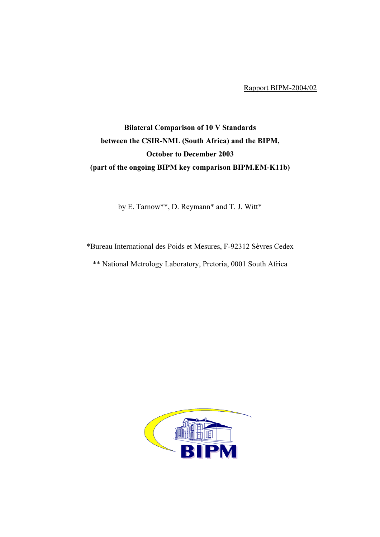Rapport BIPM-2004/02

## Bilateral Comparison of 10 V Standards between the CSIR-NML (South Africa) and the BIPM, October to December 2003 (part of the ongoing BIPM key comparison BIPM.EM-K11b)

by E. Tarnow\*\*, D. Reymann\* and T. J. Witt\*

\*Bureau International des Poids et Mesures, F-92312 Sèvres Cedex

\*\* National Metrology Laboratory, Pretoria, 0001 South Africa

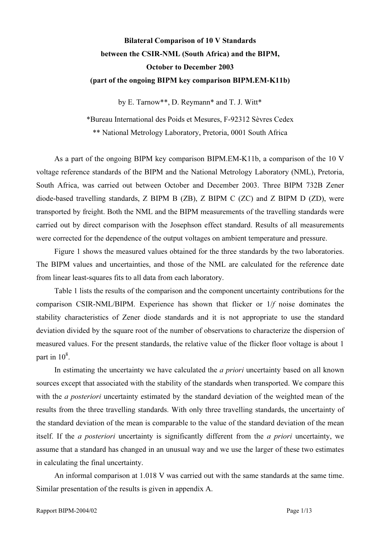## Bilateral Comparison of 10 V Standards between the CSIR-NML (South Africa) and the BIPM, October to December 2003 (part of the ongoing BIPM key comparison BIPM.EM-K11b)

by E. Tarnow\*\*, D. Reymann\* and T. J. Witt\*

\*Bureau International des Poids et Mesures, F-92312 Sèvres Cedex \*\* National Metrology Laboratory, Pretoria, 0001 South Africa

As a part of the ongoing BIPM key comparison BIPM.EM-K11b, a comparison of the 10 V voltage reference standards of the BIPM and the National Metrology Laboratory (NML), Pretoria, South Africa, was carried out between October and December 2003. Three BIPM 732B Zener diode-based travelling standards, Z BIPM B (ZB), Z BIPM C (ZC) and Z BIPM D (ZD), were transported by freight. Both the NML and the BIPM measurements of the travelling standards were carried out by direct comparison with the Josephson effect standard. Results of all measurements were corrected for the dependence of the output voltages on ambient temperature and pressure.

Figure 1 shows the measured values obtained for the three standards by the two laboratories. The BIPM values and uncertainties, and those of the NML are calculated for the reference date from linear least-squares fits to all data from each laboratory.

Table 1 lists the results of the comparison and the component uncertainty contributions for the comparison CSIR-NML/BIPM. Experience has shown that flicker or 1/f noise dominates the stability characteristics of Zener diode standards and it is not appropriate to use the standard deviation divided by the square root of the number of observations to characterize the dispersion of measured values. For the present standards, the relative value of the flicker floor voltage is about 1 part in  $10^8$ .

In estimating the uncertainty we have calculated the *a priori* uncertainty based on all known sources except that associated with the stability of the standards when transported. We compare this with the *a posteriori* uncertainty estimated by the standard deviation of the weighted mean of the results from the three travelling standards. With only three travelling standards, the uncertainty of the standard deviation of the mean is comparable to the value of the standard deviation of the mean itself. If the a posteriori uncertainty is significantly different from the a priori uncertainty, we assume that a standard has changed in an unusual way and we use the larger of these two estimates in calculating the final uncertainty.

An informal comparison at 1.018 V was carried out with the same standards at the same time. Similar presentation of the results is given in appendix A.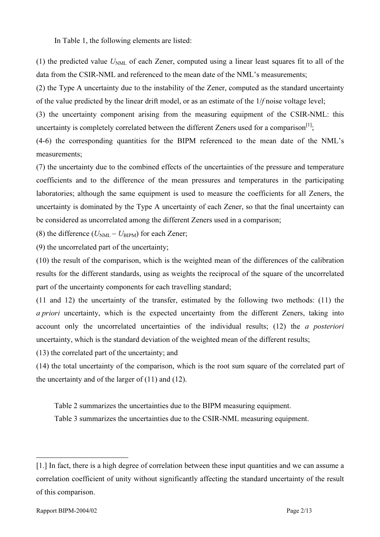In Table 1, the following elements are listed:

(1) the predicted value  $U<sub>NML</sub>$  of each Zener, computed using a linear least squares fit to all of the data from the CSIR-NML and referenced to the mean date of the NML's measurements;

(2) the Type A uncertainty due to the instability of the Zener, computed as the standard uncertainty of the value predicted by the linear drift model, or as an estimate of the 1/f noise voltage level;

(3) the uncertainty component arising from the measuring equipment of the CSIR-NML: this uncertainty is completely correlated between the different Zeners used for a comparison<sup>[1]</sup>;

(4-6) the corresponding quantities for the BIPM referenced to the mean date of the NML's measurements;

(7) the uncertainty due to the combined effects of the uncertainties of the pressure and temperature coefficients and to the difference of the mean pressures and temperatures in the participating laboratories; although the same equipment is used to measure the coefficients for all Zeners, the uncertainty is dominated by the Type A uncertainty of each Zener, so that the final uncertainty can be considered as uncorrelated among the different Zeners used in a comparison;

(8) the difference ( $U_{\text{NML}} - U_{\text{BIPM}}$ ) for each Zener;

(9) the uncorrelated part of the uncertainty;

(10) the result of the comparison, which is the weighted mean of the differences of the calibration results for the different standards, using as weights the reciprocal of the square of the uncorrelated part of the uncertainty components for each travelling standard;

(11 and 12) the uncertainty of the transfer, estimated by the following two methods: (11) the a priori uncertainty, which is the expected uncertainty from the different Zeners, taking into account only the uncorrelated uncertainties of the individual results; (12) the a posteriori uncertainty, which is the standard deviation of the weighted mean of the different results;

(13) the correlated part of the uncertainty; and

(14) the total uncertainty of the comparison, which is the root sum square of the correlated part of the uncertainty and of the larger of  $(11)$  and  $(12)$ .

Table 2 summarizes the uncertainties due to the BIPM measuring equipment.

Table 3 summarizes the uncertainties due to the CSIR-NML measuring equipment.

 $\overline{a}$ 

<sup>[1.]</sup> In fact, there is a high degree of correlation between these input quantities and we can assume a correlation coefficient of unity without significantly affecting the standard uncertainty of the result of this comparison.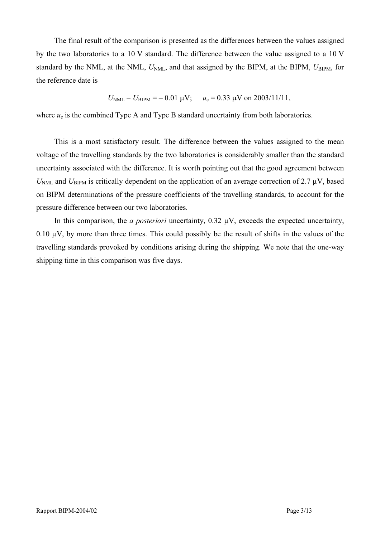The final result of the comparison is presented as the differences between the values assigned by the two laboratories to a 10 V standard. The difference between the value assigned to a 10 V standard by the NML, at the NML,  $U<sub>NML</sub>$ , and that assigned by the BIPM, at the BIPM,  $U<sub>BIPM</sub>$ , for the reference date is

$$
U_{\text{NML}} - U_{\text{BIPM}} = -0.01 \text{ }\mu\text{V}; \quad u_c = 0.33 \text{ }\mu\text{V on } 2003/11/11,
$$

where  $u_c$  is the combined Type A and Type B standard uncertainty from both laboratories.

This is a most satisfactory result. The difference between the values assigned to the mean voltage of the travelling standards by the two laboratories is considerably smaller than the standard uncertainty associated with the difference. It is worth pointing out that the good agreement between  $U<sub>NML</sub>$  and  $U<sub>BIPM</sub>$  is critically dependent on the application of an average correction of 2.7  $\mu$ V, based on BIPM determinations of the pressure coefficients of the travelling standards, to account for the pressure difference between our two laboratories.

In this comparison, the *a posteriori* uncertainty,  $0.32 \mu V$ , exceeds the expected uncertainty, 0.10  $\mu$ V, by more than three times. This could possibly be the result of shifts in the values of the travelling standards provoked by conditions arising during the shipping. We note that the one-way shipping time in this comparison was five days.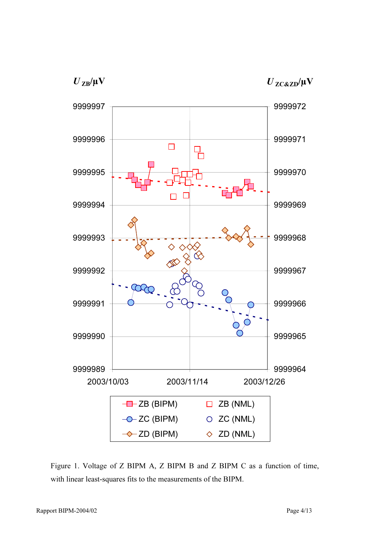$U_{\text{ZB}}/\mu\text{V}$ 





Figure 1. Voltage of Z BIPM A, Z BIPM B and Z BIPM C as a function of time, with linear least-squares fits to the measurements of the BIPM.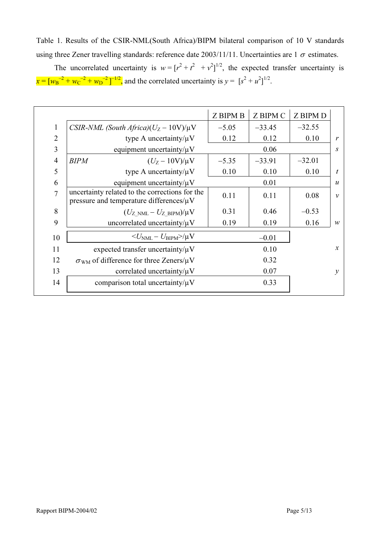Table 1. Results of the CSIR-NML(South Africa)/BIPM bilateral comparison of 10 V standards using three Zener travelling standards: reference date  $2003/11/11$ . Uncertainties are 1  $\sigma$  estimates.

The uncorrelated uncertainty is  $w = [r^2 + r^2 + r^2]^{1/2}$ , the expected transfer uncertainty is  $x = [w_B^{-2} + w_C^{-2} + w_D^{-2}]^{-1/2}$ , and the correlated uncertainty is  $y = [s^2 + u^2]^{1/2}$ .

|                |                                                                                                 | <b>Z BIPM B</b> | <b>Z BIPM C</b> | <b>Z BIPM D</b> |                  |
|----------------|-------------------------------------------------------------------------------------------------|-----------------|-----------------|-----------------|------------------|
| $\mathbf{1}$   | CSIR-NML (South Africa) $(U_Z - 10V)/\mu V$                                                     | $-5.05$         | $-33.45$        | $-32.55$        |                  |
| $\overline{2}$ | type A uncertainty/ $\mu$ V                                                                     | 0.12            | 0.12            | 0.10            | $\mathcal{V}$    |
| $\overline{3}$ | equipment uncertainty/ $\mu$ V                                                                  |                 | 0.06            |                 | S                |
| $\overline{4}$ | <b>BIPM</b><br>$(U_Z - 10V)/\mu V$                                                              | $-5.35$         | $-33.91$        | $-32.01$        |                  |
| 5              | type A uncertainty/ $\mu$ V                                                                     | 0.10            | 0.10            | 0.10            | t                |
| 6              | equipment uncertainty/ $\mu$ V                                                                  |                 | 0.01            |                 | $\boldsymbol{u}$ |
| $\overline{7}$ | uncertainty related to the corrections for the<br>pressure and temperature differences/ $\mu$ V | 0.11            | 0.11            | 0.08            | $\mathcal V$     |
| 8              | $(U_{Z>NML}-U_{ZBIPM})/\mu V$                                                                   | 0.31            | 0.46            | $-0.53$         |                  |
| 9              | uncorrelated uncertainty/ $\mu$ V                                                               | 0.19            | 0.19            | 0.16            | $\mathcal W$     |
| 10             | $\langle U_{NML} - U_{\text{BIPM}} \rangle / \mu V$                                             |                 | $-0.01$         |                 |                  |
| 11             | expected transfer uncertainty/ $\mu$ V                                                          |                 | 0.10            |                 | $\mathcal{X}$    |
| 12             | $\sigma_{WM}$ of difference for three Zeners/ $\mu$ V                                           |                 | 0.32            |                 |                  |
| 13             | correlated uncertainty/ $\mu$ V                                                                 |                 | 0.07            |                 | $\mathcal{V}$    |
| 14             | comparison total uncertainty/ $\mu$ V                                                           |                 | 0.33            |                 |                  |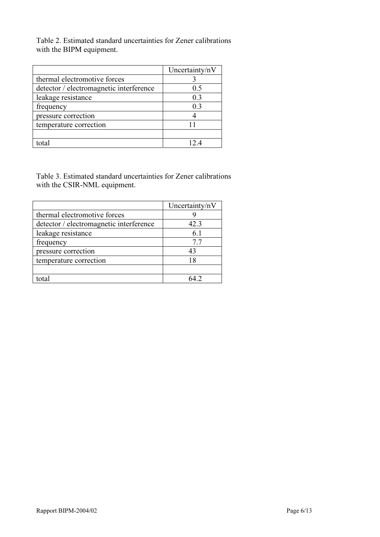Table 2. Estimated standard uncertainties for Zener calibrations with the BIPM equipment.

|                                         | Uncertainty/nV |
|-----------------------------------------|----------------|
| thermal electromotive forces            |                |
| detector / electromagnetic interference | 0.5            |
| leakage resistance                      | 0.3            |
| frequency                               | 0.3            |
| pressure correction                     |                |
| temperature correction                  |                |
|                                         |                |
| tota                                    |                |

Table 3. Estimated standard uncertainties for Zener calibrations with the CSIR-NML equipment.

|                                         | Uncertainty/nV |
|-----------------------------------------|----------------|
| thermal electromotive forces            |                |
| detector / electromagnetic interference | 42.3           |
| leakage resistance                      | 6.1            |
| frequency                               | 7.7            |
| pressure correction                     | 43             |
| temperature correction                  | 18             |
|                                         |                |
| total                                   | 64 2           |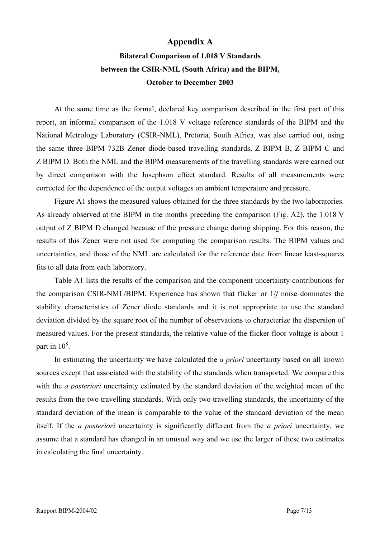## Appendix A

## Bilateral Comparison of 1.018 V Standards between the CSIR-NML (South Africa) and the BIPM, October to December 2003

At the same time as the formal, declared key comparison described in the first part of this report, an informal comparison of the 1.018 V voltage reference standards of the BIPM and the National Metrology Laboratory (CSIR-NML), Pretoria, South Africa, was also carried out, using the same three BIPM 732B Zener diode-based travelling standards, Z BIPM B, Z BIPM C and Z BIPM D. Both the NML and the BIPM measurements of the travelling standards were carried out by direct comparison with the Josephson effect standard. Results of all measurements were corrected for the dependence of the output voltages on ambient temperature and pressure.

Figure A1 shows the measured values obtained for the three standards by the two laboratories. As already observed at the BIPM in the months preceding the comparison (Fig. A2), the 1.018 V output of Z BIPM D changed because of the pressure change during shipping. For this reason, the results of this Zener were not used for computing the comparison results. The BIPM values and uncertainties, and those of the NML are calculated for the reference date from linear least-squares fits to all data from each laboratory.

Table A1 lists the results of the comparison and the component uncertainty contributions for the comparison CSIR-NML/BIPM. Experience has shown that flicker or 1/f noise dominates the stability characteristics of Zener diode standards and it is not appropriate to use the standard deviation divided by the square root of the number of observations to characterize the dispersion of measured values. For the present standards, the relative value of the flicker floor voltage is about 1 part in  $10^8$ .

In estimating the uncertainty we have calculated the *a priori* uncertainty based on all known sources except that associated with the stability of the standards when transported. We compare this with the *a posteriori* uncertainty estimated by the standard deviation of the weighted mean of the results from the two travelling standards. With only two travelling standards, the uncertainty of the standard deviation of the mean is comparable to the value of the standard deviation of the mean itself. If the a posteriori uncertainty is significantly different from the a priori uncertainty, we assume that a standard has changed in an unusual way and we use the larger of these two estimates in calculating the final uncertainty.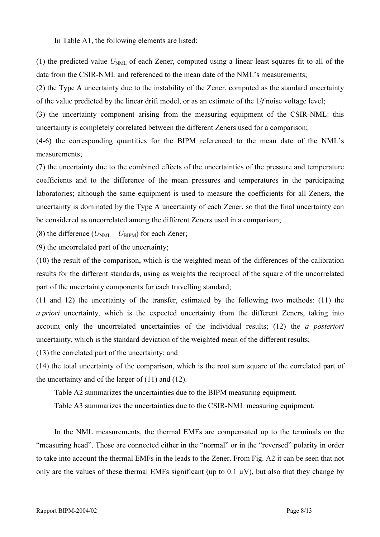In Table A1, the following elements are listed:

(1) the predicted value  $U<sub>NML</sub>$  of each Zener, computed using a linear least squares fit to all of the data from the CSIR-NML and referenced to the mean date of the NML's measurements;

(2) the Type A uncertainty due to the instability of the Zener, computed as the standard uncertainty of the value predicted by the linear drift model, or as an estimate of the 1/f noise voltage level;

(3) the uncertainty component arising from the measuring equipment of the CSIR-NML: this uncertainty is completely correlated between the different Zeners used for a comparison;

(4-6) the corresponding quantities for the BIPM referenced to the mean date of the NML's measurements;

(7) the uncertainty due to the combined effects of the uncertainties of the pressure and temperature coefficients and to the difference of the mean pressures and temperatures in the participating laboratories; although the same equipment is used to measure the coefficients for all Zeners, the uncertainty is dominated by the Type A uncertainty of each Zener, so that the final uncertainty can be considered as uncorrelated among the different Zeners used in a comparison;

(8) the difference ( $U_{\text{NML}} - U_{\text{BIPM}}$ ) for each Zener;

(9) the uncorrelated part of the uncertainty;

(10) the result of the comparison, which is the weighted mean of the differences of the calibration results for the different standards, using as weights the reciprocal of the square of the uncorrelated part of the uncertainty components for each travelling standard;

(11 and 12) the uncertainty of the transfer, estimated by the following two methods: (11) the a priori uncertainty, which is the expected uncertainty from the different Zeners, taking into account only the uncorrelated uncertainties of the individual results; (12) the a posteriori uncertainty, which is the standard deviation of the weighted mean of the different results;

(13) the correlated part of the uncertainty; and

(14) the total uncertainty of the comparison, which is the root sum square of the correlated part of the uncertainty and of the larger of  $(11)$  and  $(12)$ .

Table A2 summarizes the uncertainties due to the BIPM measuring equipment.

Table A3 summarizes the uncertainties due to the CSIR-NML measuring equipment.

In the NML measurements, the thermal EMFs are compensated up to the terminals on the "measuring head". Those are connected either in the "normal" or in the "reversed" polarity in order to take into account the thermal EMFs in the leads to the Zener. From Fig. A2 it can be seen that not only are the values of these thermal EMFs significant (up to  $0.1 \mu V$ ), but also that they change by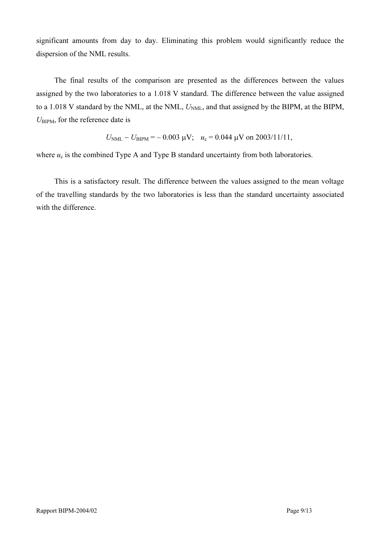significant amounts from day to day. Eliminating this problem would significantly reduce the dispersion of the NML results.

The final results of the comparison are presented as the differences between the values assigned by the two laboratories to a 1.018 V standard. The difference between the value assigned to a 1.018 V standard by the NML, at the NML,  $U_{NML}$ , and that assigned by the BIPM, at the BIPM,  $U_{\text{BIPM}}$ , for the reference date is

$$
U_{\text{NML}} - U_{\text{BIPM}} = -0.003 \, \mu\text{V}; \quad u_c = 0.044 \, \mu\text{V}
$$
 on 2003/11/11,

where  $u_c$  is the combined Type A and Type B standard uncertainty from both laboratories.

This is a satisfactory result. The difference between the values assigned to the mean voltage of the travelling standards by the two laboratories is less than the standard uncertainty associated with the difference.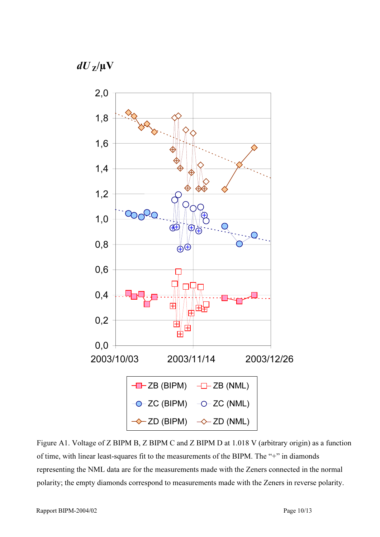$dU_{Z}/\mu V$ 



Figure A1. Voltage of Z BIPM B, Z BIPM C and Z BIPM D at 1.018 V (arbitrary origin) as a function of time, with linear least-squares fit to the measurements of the BIPM. The "+" in diamonds representing the NML data are for the measurements made with the Zeners connected in the normal polarity; the empty diamonds correspond to measurements made with the Zeners in reverse polarity.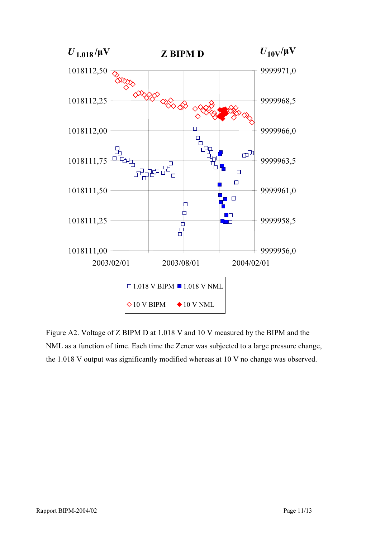

Figure A2. Voltage of Z BIPM D at 1.018 V and 10 V measured by the BIPM and the NML as a function of time. Each time the Zener was subjected to a large pressure change, the 1.018 V output was significantly modified whereas at 10 V no change was observed.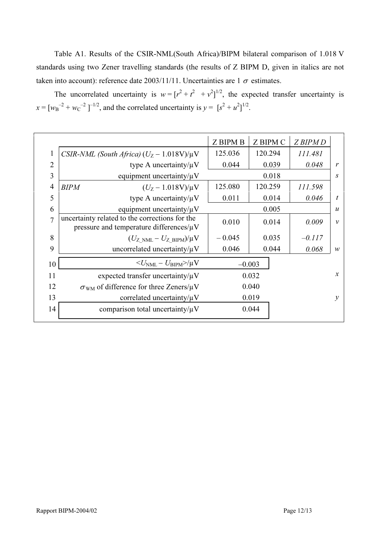Table A1. Results of the CSIR-NML(South Africa)/BIPM bilateral comparison of 1.018 V standards using two Zener travelling standards (the results of Z BIPM D, given in italics are not taken into account): reference date 2003/11/11. Uncertainties are 1  $\sigma$  estimates.

| The uncorrelated uncertainty is $w = [r^2 + r^2 + r^2]^{1/2}$ , the expected transfer uncertainty is |  |  |  |  |  |
|------------------------------------------------------------------------------------------------------|--|--|--|--|--|
| $x = [w_B^{-2} + w_C^{-2}]^{-1/2}$ , and the correlated uncertainty is $y = [s^2 + u^2]^{1/2}$ .     |  |  |  |  |  |

|                |                                                                                                 | <b>Z BIPM B</b> | Z BIPM C | Z BIPM D |                  |
|----------------|-------------------------------------------------------------------------------------------------|-----------------|----------|----------|------------------|
| 1              | CSIR-NML (South Africa) $(U_Z - 1.018V)/\mu V$                                                  | 125.036         | 120.294  | 111.481  |                  |
| $\overline{2}$ | type A uncertainty/ $\mu$ V                                                                     | 0.044           | 0.039    | 0.048    | $\mathbf{r}$     |
| 3              | equipment uncertainty/ $\mu$ V                                                                  |                 | 0.018    |          | S                |
| $\overline{4}$ | <b>BIPM</b><br>$(U_Z - 1.018V)/\mu V$                                                           | 125.080         | 120.259  | 111.598  |                  |
| 5              | type A uncertainty/ $\mu$ V                                                                     | 0.011           | 0.014    | 0.046    | $\boldsymbol{t}$ |
| 6              | equipment uncertainty/ $\mu$ V                                                                  | 0.005           |          |          | $\boldsymbol{u}$ |
| 7              | uncertainty related to the corrections for the<br>pressure and temperature differences/ $\mu$ V | 0.010           | 0.014    | 0.009    | $\mathcal{V}$    |
| 8              | $(U_{Z>NML}-U_{ZBIPM})/\mu V$                                                                   | $-0.045$        | 0.035    |          |                  |
| 9              | uncorrelated uncertainty/ $\mu$ V                                                               | 0.046<br>0.044  |          | 0.068    | W                |
| 10             | $\langle U_{\rm NML} - U_{\rm BIPM} \rangle / \mu V$                                            |                 | $-0.003$ |          |                  |
| 11             | expected transfer uncertainty/ $\mu$ V                                                          | 0.032           |          |          | $\mathcal{X}$    |
| 12             | $\sigma_{WM}$ of difference for three Zeners/ $\mu$ V                                           | 0.040           |          |          |                  |
| 13             | correlated uncertainty/ $\mu$ V                                                                 | 0.019           |          |          | $\mathcal{V}$    |
| 14             | comparison total uncertainty/ $\mu$ V                                                           | 0.044           |          |          |                  |